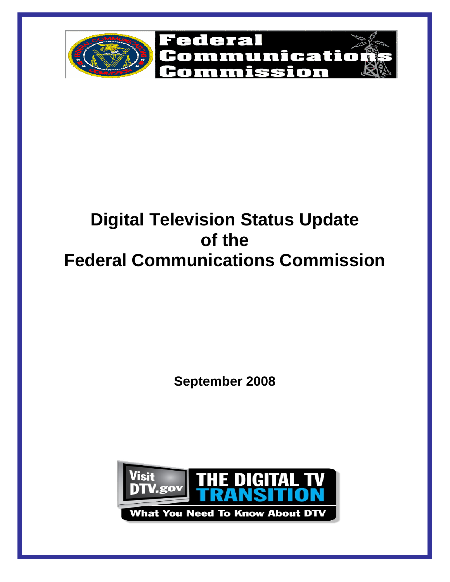

# **Digital Television Status Update of the Federal Communications Commission**

**September 2008** 

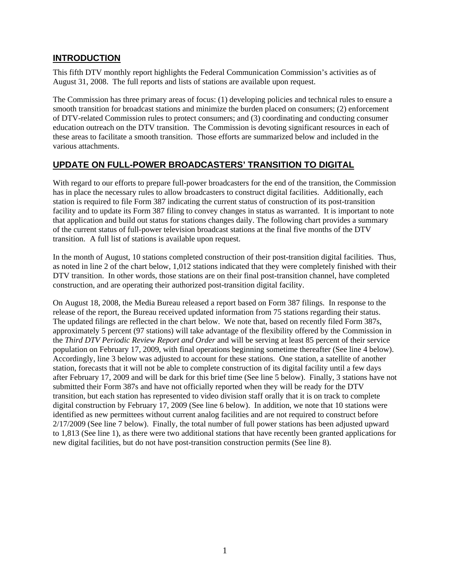### **INTRODUCTION**

This fifth DTV monthly report highlights the Federal Communication Commission's activities as of August 31, 2008. The full reports and lists of stations are available upon request.

The Commission has three primary areas of focus: (1) developing policies and technical rules to ensure a smooth transition for broadcast stations and minimize the burden placed on consumers; (2) enforcement of DTV-related Commission rules to protect consumers; and (3) coordinating and conducting consumer education outreach on the DTV transition. The Commission is devoting significant resources in each of these areas to facilitate a smooth transition. Those efforts are summarized below and included in the various attachments.

## **UPDATE ON FULL-POWER BROADCASTERS' TRANSITION TO DIGITAL**

With regard to our efforts to prepare full-power broadcasters for the end of the transition, the Commission has in place the necessary rules to allow broadcasters to construct digital facilities. Additionally, each station is required to file Form 387 indicating the current status of construction of its post-transition facility and to update its Form 387 filing to convey changes in status as warranted. It is important to note that application and build out status for stations changes daily. The following chart provides a summary of the current status of full-power television broadcast stations at the final five months of the DTV transition. A full list of stations is available upon request.

In the month of August, 10 stations completed construction of their post-transition digital facilities. Thus, as noted in line 2 of the chart below, 1,012 stations indicated that they were completely finished with their DTV transition. In other words, those stations are on their final post-transition channel, have completed construction, and are operating their authorized post-transition digital facility.

On August 18, 2008, the Media Bureau released a report based on Form 387 filings. In response to the release of the report, the Bureau received updated information from 75 stations regarding their status. The updated filings are reflected in the chart below. We note that, based on recently filed Form 387s, approximately 5 percent (97 stations) will take advantage of the flexibility offered by the Commission in the *Third DTV Periodic Review Report and Order* and will be serving at least 85 percent of their service population on February 17, 2009, with final operations beginning sometime thereafter (See line 4 below). Accordingly, line 3 below was adjusted to account for these stations. One station, a satellite of another station, forecasts that it will not be able to complete construction of its digital facility until a few days after February 17, 2009 and will be dark for this brief time (See line 5 below). Finally, 3 stations have not submitted their Form 387s and have not officially reported when they will be ready for the DTV transition, but each station has represented to video division staff orally that it is on track to complete digital construction by February 17, 2009 (See line 6 below). In addition, we note that 10 stations were identified as new permittees without current analog facilities and are not required to construct before 2/17/2009 (See line 7 below). Finally, the total number of full power stations has been adjusted upward to 1,813 (See line 1), as there were two additional stations that have recently been granted applications for new digital facilities, but do not have post-transition construction permits (See line 8).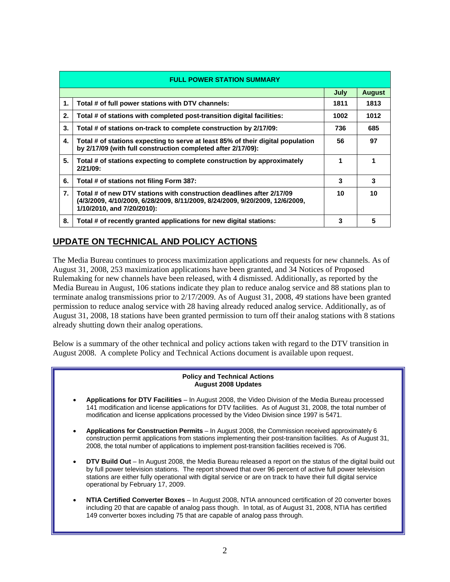| <b>FULL POWER STATION SUMMARY</b> |                                                                                                                                                                                     |      |      |  |  |
|-----------------------------------|-------------------------------------------------------------------------------------------------------------------------------------------------------------------------------------|------|------|--|--|
|                                   | <b>August</b><br>July                                                                                                                                                               |      |      |  |  |
| 1.                                | Total # of full power stations with DTV channels:                                                                                                                                   | 1811 | 1813 |  |  |
| 2.                                | Total # of stations with completed post-transition digital facilities:                                                                                                              | 1002 | 1012 |  |  |
| 3.                                | Total # of stations on-track to complete construction by 2/17/09:                                                                                                                   | 736  | 685  |  |  |
| 4.                                | Total # of stations expecting to serve at least 85% of their digital population<br>by 2/17/09 (with full construction completed after 2/17/09):                                     | 56   | 97   |  |  |
| 5.                                | Total # of stations expecting to complete construction by approximately<br>$2/21/09$ :                                                                                              |      |      |  |  |
| 6.                                | Total # of stations not filing Form 387:                                                                                                                                            | 3    | 3    |  |  |
| 7.                                | Total # of new DTV stations with construction deadlines after 2/17/09<br>(4/3/2009, 4/10/2009, 6/28/2009, 8/11/2009, 8/24/2009, 9/20/2009, 12/6/2009,<br>1/10/2010, and 7/20/2010): | 10   | 10   |  |  |
| 8.                                | Total # of recently granted applications for new digital stations:                                                                                                                  | 3    | 5    |  |  |

# **UPDATE ON TECHNICAL AND POLICY ACTIONS**

The Media Bureau continues to process maximization applications and requests for new channels. As of August 31, 2008, 253 maximization applications have been granted, and 34 Notices of Proposed Rulemaking for new channels have been released, with 4 dismissed. Additionally, as reported by the Media Bureau in August, 106 stations indicate they plan to reduce analog service and 88 stations plan to terminate analog transmissions prior to 2/17/2009. As of August 31, 2008, 49 stations have been granted permission to reduce analog service with 28 having already reduced analog service. Additionally, as of August 31, 2008, 18 stations have been granted permission to turn off their analog stations with 8 stations already shutting down their analog operations.

Below is a summary of the other technical and policy actions taken with regard to the DTV transition in August 2008. A complete Policy and Technical Actions document is available upon request.

#### **Policy and Technical Actions August 2008 Updates**

- **Applications for DTV Facilities** In August 2008, the Video Division of the Media Bureau processed 141 modification and license applications for DTV facilities. As of August 31, 2008, the total number of modification and license applications processed by the Video Division since 1997 is 5471.
- **Applications for Construction Permits** In August 2008, the Commission received approximately 6 construction permit applications from stations implementing their post-transition facilities. As of August 31, 2008, the total number of applications to implement post-transition facilities received is 706.
- **DTV Build Out** In August 2008, the Media Bureau released a report on the status of the digital build out by full power television stations. The report showed that over 96 percent of active full power television stations are either fully operational with digital service or are on track to have their full digital service operational by February 17, 2009.
- **NTIA Certified Converter Boxes** In August 2008, NTIA announced certification of 20 converter boxes including 20 that are capable of analog pass though. In total, as of August 31, 2008, NTIA has certified 149 converter boxes including 75 that are capable of analog pass through.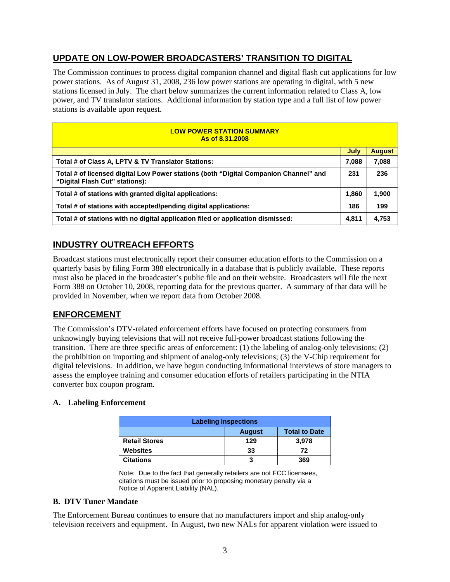# **UPDATE ON LOW-POWER BROADCASTERS' TRANSITION TO DIGITAL**

The Commission continues to process digital companion channel and digital flash cut applications for low power stations. As of August 31, 2008, 236 low power stations are operating in digital, with 5 new stations licensed in July. The chart below summarizes the current information related to Class A, low power, and TV translator stations. Additional information by station type and a full list of low power stations is available upon request.

| <b>LOW POWER STATION SUMMARY</b><br>As of 8.31.2008                                                                    |       |               |  |
|------------------------------------------------------------------------------------------------------------------------|-------|---------------|--|
|                                                                                                                        | July  | <b>August</b> |  |
| Total # of Class A, LPTV & TV Translator Stations:                                                                     | 7,088 | 7,088         |  |
| Total # of licensed digital Low Power stations (both "Digital Companion Channel" and<br>"Digital Flash Cut" stations): | 231   | 236           |  |
| Total # of stations with granted digital applications:                                                                 | 1,860 | 1,900         |  |
| Total # of stations with accepted/pending digital applications:                                                        | 186   | 199           |  |
| Total # of stations with no digital application filed or application dismissed:                                        | 4,811 | 4,753         |  |

# **INDUSTRY OUTREACH EFFORTS**

Broadcast stations must electronically report their consumer education efforts to the Commission on a quarterly basis by filing Form 388 electronically in a database that is publicly available. These reports must also be placed in the broadcaster's public file and on their website. Broadcasters will file the next Form 388 on October 10, 2008, reporting data for the previous quarter. A summary of that data will be provided in November, when we report data from October 2008.

# **ENFORCEMENT**

The Commission's DTV-related enforcement efforts have focused on protecting consumers from unknowingly buying televisions that will not receive full-power broadcast stations following the transition. There are three specific areas of enforcement: (1) the labeling of analog-only televisions; (2) the prohibition on importing and shipment of analog-only televisions; (3) the V-Chip requirement for digital televisions. In addition, we have begun conducting informational interviews of store managers to assess the employee training and consumer education efforts of retailers participating in the NTIA converter box coupon program.

#### **A. Labeling Enforcement**

| <b>Labeling Inspections</b> |               |                      |  |
|-----------------------------|---------------|----------------------|--|
|                             | <b>August</b> | <b>Total to Date</b> |  |
| <b>Retail Stores</b>        | 129           | 3.978                |  |
| <b>Websites</b>             | 33            | 72                   |  |
| <b>Citations</b>            | 3             | 369                  |  |

Note: Due to the fact that generally retailers are not FCC licensees, citations must be issued prior to proposing monetary penalty via a Notice of Apparent Liability (NAL).

#### **B. DTV Tuner Mandate**

The Enforcement Bureau continues to ensure that no manufacturers import and ship analog-only television receivers and equipment. In August, two new NALs for apparent violation were issued to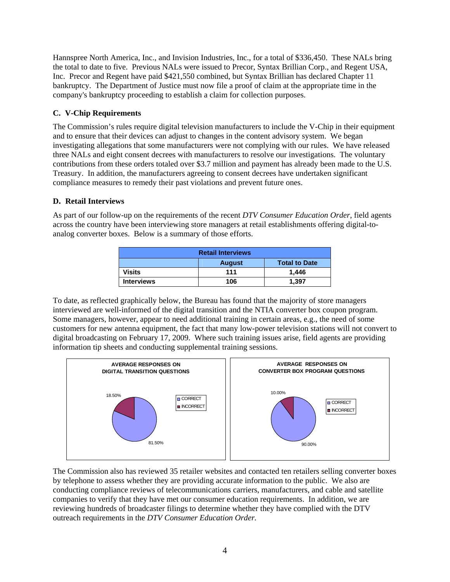Hannspree North America, Inc., and Invision Industries, Inc., for a total of \$336,450. These NALs bring the total to date to five. Previous NALs were issued to Precor, Syntax Brillian Corp., and Regent USA, Inc. Precor and Regent have paid \$421,550 combined, but Syntax Brillian has declared Chapter 11 bankruptcy. The Department of Justice must now file a proof of claim at the appropriate time in the company's bankruptcy proceeding to establish a claim for collection purposes.

#### **C. V-Chip Requirements**

The Commission's rules require digital television manufacturers to include the V-Chip in their equipment and to ensure that their devices can adjust to changes in the content advisory system. We began investigating allegations that some manufacturers were not complying with our rules. We have released three NALs and eight consent decrees with manufacturers to resolve our investigations. The voluntary contributions from these orders totaled over \$3.7 million and payment has already been made to the U.S. Treasury. In addition, the manufacturers agreeing to consent decrees have undertaken significant compliance measures to remedy their past violations and prevent future ones.

#### **D. Retail Interviews**

As part of our follow-up on the requirements of the recent *DTV Consumer Education Order*, field agents across the country have been interviewing store managers at retail establishments offering digital-toanalog converter boxes. Below is a summary of those efforts.

| <b>Retail Interviews</b> |               |                      |  |
|--------------------------|---------------|----------------------|--|
|                          | <b>August</b> | <b>Total to Date</b> |  |
| Visits                   | 111           | 1.446                |  |
| <b>Interviews</b>        | 106           | 1.397                |  |

To date, as reflected graphically below, the Bureau has found that the majority of store managers interviewed are well-informed of the digital transition and the NTIA converter box coupon program. Some managers, however, appear to need additional training in certain areas, e.g., the need of some customers for new antenna equipment, the fact that many low-power television stations will not convert to digital broadcasting on February 17, 2009. Where such training issues arise, field agents are providing information tip sheets and conducting supplemental training sessions.



The Commission also has reviewed 35 retailer websites and contacted ten retailers selling converter boxes by telephone to assess whether they are providing accurate information to the public. We also are conducting compliance reviews of telecommunications carriers, manufacturers, and cable and satellite companies to verify that they have met our consumer education requirements. In addition, we are reviewing hundreds of broadcaster filings to determine whether they have complied with the DTV outreach requirements in the *DTV Consumer Education Order.*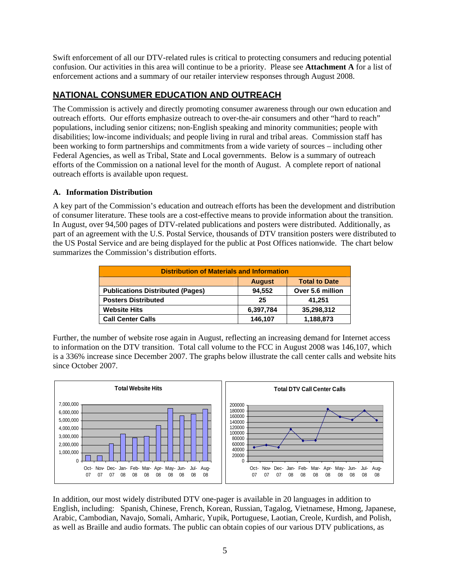Swift enforcement of all our DTV-related rules is critical to protecting consumers and reducing potential confusion. Our activities in this area will continue to be a priority. Please see **Attachment A** for a list of enforcement actions and a summary of our retailer interview responses through August 2008.

# **NATIONAL CONSUMER EDUCATION AND OUTREACH**

The Commission is actively and directly promoting consumer awareness through our own education and outreach efforts. Our efforts emphasize outreach to over-the-air consumers and other "hard to reach" populations, including senior citizens; non-English speaking and minority communities; people with disabilities; low-income individuals; and people living in rural and tribal areas. Commission staff has been working to form partnerships and commitments from a wide variety of sources – including other Federal Agencies, as well as Tribal, State and Local governments. Below is a summary of outreach efforts of the Commission on a national level for the month of August. A complete report of national outreach efforts is available upon request.

#### **A. Information Distribution**

A key part of the Commission's education and outreach efforts has been the development and distribution of consumer literature. These tools are a cost-effective means to provide information about the transition. In August, over 94,500 pages of DTV-related publications and posters were distributed. Additionally, as part of an agreement with the U.S. Postal Service, thousands of DTV transition posters were distributed to the US Postal Service and are being displayed for the public at Post Offices nationwide. The chart below summarizes the Commission's distribution efforts.

| <b>Distribution of Materials and Information</b> |               |                      |  |
|--------------------------------------------------|---------------|----------------------|--|
|                                                  | <b>August</b> | <b>Total to Date</b> |  |
| <b>Publications Distributed (Pages)</b>          | 94.552        | Over 5.6 million     |  |
| <b>Posters Distributed</b>                       | 25            | 41,251               |  |
| <b>Website Hits</b>                              | 6,397,784     | 35,298,312           |  |
| <b>Call Center Calls</b>                         | 146,107       | 1,188,873            |  |

Further, the number of website rose again in August, reflecting an increasing demand for Internet access to information on the DTV transition. Total call volume to the FCC in August 2008 was 146,107, which is a 336% increase since December 2007. The graphs below illustrate the call center calls and website hits since October 2007.



In addition, our most widely distributed DTV one-pager is available in 20 languages in addition to English, including: Spanish, Chinese, French, Korean, Russian, Tagalog, Vietnamese, Hmong, Japanese, Arabic, Cambodian, Navajo, Somali, Amharic, Yupik, Portuguese, Laotian, Creole, Kurdish, and Polish, as well as Braille and audio formats. The public can obtain copies of our various DTV publications, as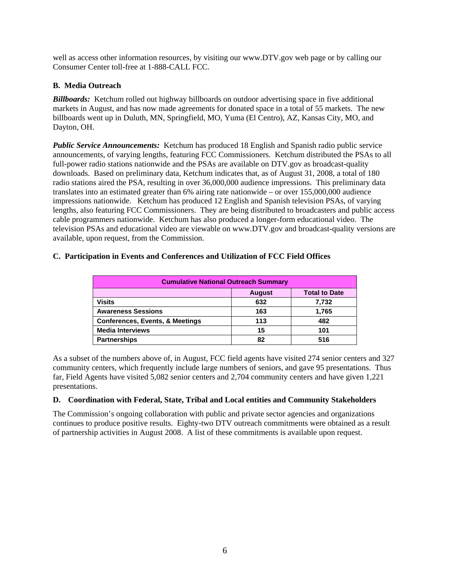well as access other information resources, by visiting our www.DTV.gov web page or by calling our Consumer Center toll-free at 1-888-CALL FCC.

#### **B. Media Outreach**

*Billboards:*Ketchum rolled out highway billboards on outdoor advertising space in five additional markets in August, and has now made agreements for donated space in a total of 55 markets. The new billboards went up in Duluth, MN, Springfield, MO, Yuma (El Centro), AZ, Kansas City, MO, and Dayton, OH.

*Public Service Announcements:* Ketchum has produced 18 English and Spanish radio public service announcements, of varying lengths, featuring FCC Commissioners. Ketchum distributed the PSAs to all full-power radio stations nationwide and the PSAs are available on DTV.gov as broadcast-quality downloads. Based on preliminary data, Ketchum indicates that, as of August 31, 2008, a total of 180 radio stations aired the PSA, resulting in over 36,000,000 audience impressions. This preliminary data translates into an estimated greater than 6% airing rate nationwide – or over 155,000,000 audience impressions nationwide. Ketchum has produced 12 English and Spanish television PSAs, of varying lengths, also featuring FCC Commissioners. They are being distributed to broadcasters and public access cable programmers nationwide. Ketchum has also produced a longer-form educational video. The television PSAs and educational video are viewable on www.DTV.gov and broadcast-quality versions are available, upon request, from the Commission.

#### **C. Participation in Events and Conferences and Utilization of FCC Field Offices**

| <b>Cumulative National Outreach Summary</b> |               |                      |  |
|---------------------------------------------|---------------|----------------------|--|
|                                             | <b>August</b> | <b>Total to Date</b> |  |
| <b>Visits</b>                               | 632           | 7,732                |  |
| <b>Awareness Sessions</b>                   | 163           | 1.765                |  |
| <b>Conferences, Events, &amp; Meetings</b>  | 113           | 482                  |  |
| <b>Media Interviews</b>                     | 15            | 101                  |  |
| <b>Partnerships</b>                         | 82            | 516                  |  |

As a subset of the numbers above of, in August, FCC field agents have visited 274 senior centers and 327 community centers, which frequently include large numbers of seniors, and gave 95 presentations. Thus far, Field Agents have visited 5,082 senior centers and 2,704 community centers and have given 1,221 presentations.

#### **D. Coordination with Federal, State, Tribal and Local entities and Community Stakeholders**

The Commission's ongoing collaboration with public and private sector agencies and organizations continues to produce positive results. Eighty-two DTV outreach commitments were obtained as a result of partnership activities in August 2008. A list of these commitments is available upon request.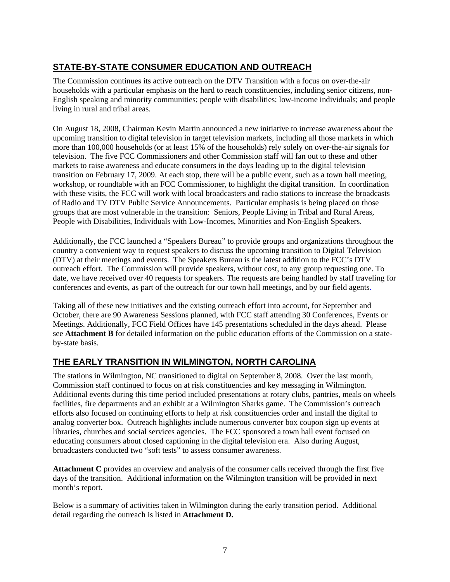# **STATE-BY-STATE CONSUMER EDUCATION AND OUTREACH**

The Commission continues its active outreach on the DTV Transition with a focus on over-the-air households with a particular emphasis on the hard to reach constituencies, including senior citizens, non-English speaking and minority communities; people with disabilities; low-income individuals; and people living in rural and tribal areas.

On August 18, 2008, Chairman Kevin Martin announced a new initiative to increase awareness about the upcoming transition to digital television in target television markets, including all those markets in which more than 100,000 households (or at least 15% of the households) rely solely on over-the-air signals for television. The five FCC Commissioners and other Commission staff will fan out to these and other markets to raise awareness and educate consumers in the days leading up to the digital television transition on February 17, 2009. At each stop, there will be a public event, such as a town hall meeting, workshop, or roundtable with an FCC Commissioner, to highlight the digital transition. In coordination with these visits, the FCC will work with local broadcasters and radio stations to increase the broadcasts of Radio and TV DTV Public Service Announcements. Particular emphasis is being placed on those groups that are most vulnerable in the transition: Seniors, People Living in Tribal and Rural Areas, People with Disabilities, Individuals with Low-Incomes, Minorities and Non-English Speakers.

Additionally, the FCC launched a "Speakers Bureau" to provide groups and organizations throughout the country a convenient way to request speakers to discuss the upcoming transition to Digital Television (DTV) at their meetings and events. The Speakers Bureau is the latest addition to the FCC's DTV outreach effort. The Commission will provide speakers, without cost, to any group requesting one. To date, we have received over 40 requests for speakers. The requests are being handled by staff traveling for conferences and events, as part of the outreach for our town hall meetings, and by our field agents.

Taking all of these new initiatives and the existing outreach effort into account, for September and October, there are 90 Awareness Sessions planned, with FCC staff attending 30 Conferences, Events or Meetings. Additionally, FCC Field Offices have 145 presentations scheduled in the days ahead. Please see **Attachment B** for detailed information on the public education efforts of the Commission on a stateby-state basis.

# **THE EARLY TRANSITION IN WILMINGTON, NORTH CAROLINA**

The stations in Wilmington, NC transitioned to digital on September 8, 2008. Over the last month, Commission staff continued to focus on at risk constituencies and key messaging in Wilmington. Additional events during this time period included presentations at rotary clubs, pantries, meals on wheels facilities, fire departments and an exhibit at a Wilmington Sharks game. The Commission's outreach efforts also focused on continuing efforts to help at risk constituencies order and install the digital to analog converter box. Outreach highlights include numerous converter box coupon sign up events at libraries, churches and social services agencies. The FCC sponsored a town hall event focused on educating consumers about closed captioning in the digital television era. Also during August, broadcasters conducted two "soft tests" to assess consumer awareness.

**Attachment C** provides an overview and analysis of the consumer calls received through the first five days of the transition. Additional information on the Wilmington transition will be provided in next month's report.

Below is a summary of activities taken in Wilmington during the early transition period. Additional detail regarding the outreach is listed in **Attachment D.**